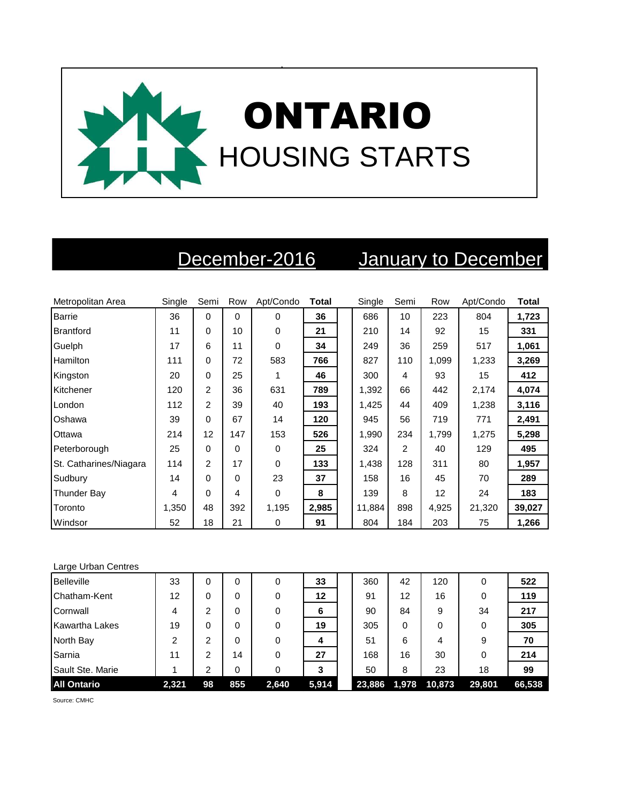

## December-2016 January to December

| Metropolitan Area      | Single | Semi           | Row      | Apt/Condo | <b>Total</b> | Single | Semi          | Row   | Apt/Condo | <b>Total</b> |
|------------------------|--------|----------------|----------|-----------|--------------|--------|---------------|-------|-----------|--------------|
| <b>Barrie</b>          | 36     | $\Omega$       | $\Omega$ | 0         | 36           | 686    | 10            | 223   | 804       | 1,723        |
| Brantford              | 11     | $\Omega$       | 10       | 0         | 21           | 210    | 14            | 92    | 15        | 331          |
| Guelph                 | 17     | 6              | 11       | $\Omega$  | 34           | 249    | 36            | 259   | 517       | 1,061        |
| Hamilton               | 111    | $\Omega$       | 72       | 583       | 766          | 827    | 110           | 1,099 | 1,233     | 3,269        |
| Kingston               | 20     | $\Omega$       | 25       |           | 46           | 300    | 4             | 93    | 15        | 412          |
| Kitchener              | 120    | $\overline{c}$ | 36       | 631       | 789          | 1,392  | 66            | 442   | 2,174     | 4,074        |
| London                 | 112    | 2              | 39       | 40        | 193          | 1,425  | 44            | 409   | 1,238     | 3,116        |
| Oshawa                 | 39     | $\Omega$       | 67       | 14        | 120          | 945    | 56            | 719   | 771       | 2,491        |
| Ottawa                 | 214    | 12             | 147      | 153       | 526          | 1,990  | 234           | 1,799 | 1,275     | 5,298        |
| Peterborough           | 25     | 0              | 0        | 0         | 25           | 324    | $\mathcal{P}$ | 40    | 129       | 495          |
| St. Catharines/Niagara | 114    | 2              | 17       | 0         | 133          | 1,438  | 128           | 311   | 80        | 1,957        |
| Sudbury                | 14     | 0              | $\Omega$ | 23        | 37           | 158    | 16            | 45    | 70        | 289          |
| Thunder Bay            | 4      | $\Omega$       | 4        | 0         | 8            | 139    | 8             | 12    | 24        | 183          |
| Toronto                | 1,350  | 48             | 392      | 1,195     | 2,985        | 11,884 | 898           | 4,925 | 21,320    | 39,027       |
| Windsor                | 52     | 18             | 21       | 0         | 91           | 804    | 184           | 203   | 75        | 1,266        |

| Large Urban Centres |       |    |          |       |       |        |       |        |        |        |
|---------------------|-------|----|----------|-------|-------|--------|-------|--------|--------|--------|
| <b>Belleville</b>   | 33    | 0  | $\Omega$ | 0     | 33    | 360    | 42    | 120    | 0      | 522    |
| Chatham-Kent        | 12    | 0  | 0        | 0     | 12    | 91     | 12    | 16     | 0      | 119    |
| Cornwall            | 4     | 2  | 0        | 0     | 6     | 90     | 84    | 9      | 34     | 217    |
| Kawartha Lakes      | 19    | 0  | 0        | 0     | 19    | 305    | 0     | 0      | 0      | 305    |
| North Bay           | 2     | 2  | 0        | 0     | 4     | 51     | 6     | 4      | 9      | 70     |
| Sarnia              | 11    | 2  | 14       | 0     | 27    | 168    | 16    | 30     | 0      | 214    |
| Sault Ste. Marie    |       | 2  | 0        | 0     | 3     | 50     | 8     | 23     | 18     | 99     |
| <b>All Ontario</b>  | 2,321 | 98 | 855      | 2,640 | 5,914 | 23,886 | 1,978 | 10,873 | 29,801 | 66,538 |
|                     |       |    |          |       |       |        |       |        |        |        |

Source: CMHC